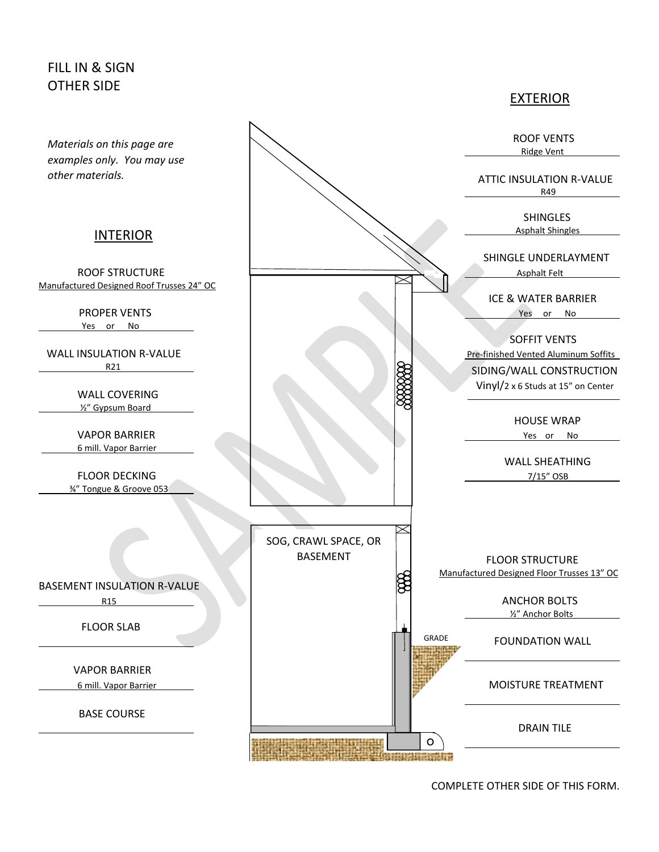## FILL IN & SIGN OTHER SIDE

 *examples only. You may use other materials.*

## **INTERIOR**

Manufactured Designed Roof Trusses 24" OC

Yes or No

R21

WALL COVERING ½" Gypsum Board

6 mill. Vapor Barrier

¾" Tongue & Groove 053

BASEMENT INSULATION R‐VALUE

R15 **ANCHOR BOLTS** 

FLOOR SLAB

VAPOR BARRIER

6 mill. Vapor Barrier **1990 Contract 1990 Contract 1990 Contract 1990 Contract 1990 Contract 1990 Contract 1990** 

BASE COURSE



GRADE

 $\circ$ 

**The Constitution of the Constitution of the Constitution of the Constitution of the Constitution** 

BASEMENT

**The Hollowing** 

EXTERIOR

COMPLETE OTHER SIDE OF THIS FORM.

 FLOOR STRUCTURE Manufactured Designed Floor Trusses 13" OC

½" Anchor Bolts

FOUNDATION WALL

DRAIN TILE